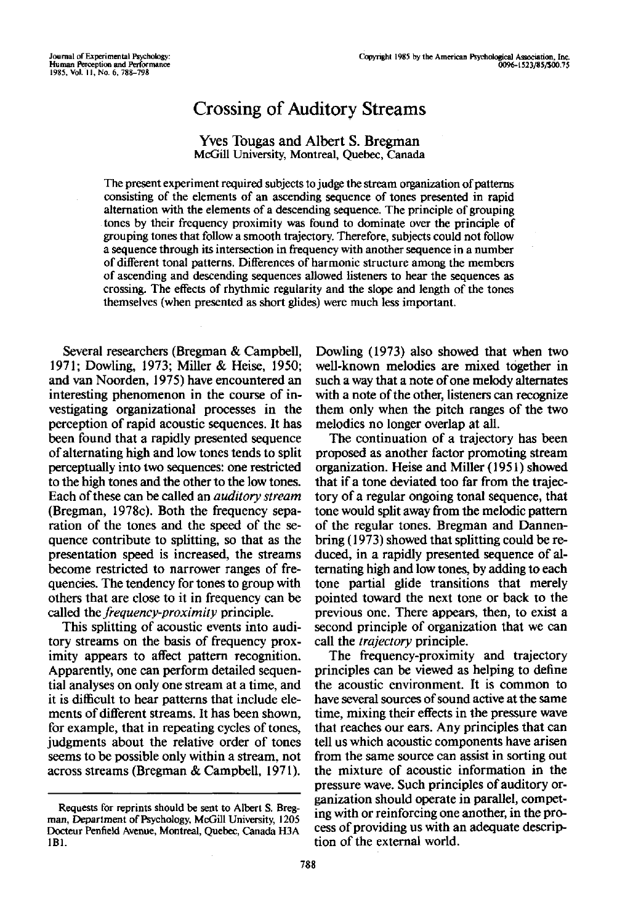# Crossing of Auditory Streams

# Yves Tougas and Albert S. Bregman McGill University, Montreal, Quebec, Canada

The present experiment required subjects to judge the stream organization of patterns consisting of the elements of an ascending sequence of tones presented in rapid alternation with the elements of a descending sequence. The principle of grouping tones by their frequency proximity was found to dominate over the principle of grouping tones that follow a smooth trajectory. Therefore, subjects could not follow a sequence through its intersection in frequency with another sequence in a number of different tonal patterns. Differences of harmonic structure among the members of ascending and descending sequences allowed listeners to hear the sequences as crossing. The effects of rhythmic regularity and the slope and length of the tones themselves (when presented as short glides) were much less important.

Several researchers (Bregman & Campbell, 1971; Dowling, 1973; Miller & Heise, 1950; and van Noorden, 1975) have encountered an interesting phenomenon in the course of investigating organizational processes in the perception of rapid acoustic sequences. It has been found that a rapidly presented sequence of alternating high and low tones tends to split perceptually into two sequences: one restricted to the high tones and the other to the low tones. Each of these can be called an *auditory stream* (Bregman, 1978c). Both the frequency separation of the tones and the speed of the sequence contribute to splitting, so that as the presentation speed is increased, the streams become restricted to narrower ranges of frequencies. The tendency for tones to group with others that are close to it in frequency can be called the *frequency-proximity* principle.

This splitting of acoustic events into auditory streams on the basis of frequency proximity appears to affect pattern recognition. Apparently, one can perform detailed sequential analyses on only one stream at a time, and it is difficult to hear patterns that include elements of different streams. It has been shown, for example, that in repeating cycles of tones, judgments about the relative order of tones seems to be possible only within a stream, not across streams (Bregman & Campbell, 1971).

Dowling (1973) also showed that when two well-known melodies are mixed together in such a way that a note of one melody alternates with a note of the other, listeners can recognize them only when the pitch ranges of the two melodies no longer overlap at all.

The continuation of a trajectory has been proposed as another factor promoting stream organization. Heise and Miller (1951) showed that if a tone deviated too far from the trajectory of a regular ongoing tonal sequence, that tone would split away from the melodic pattern of the regular tones. Bregman and Dannenbring (1973) showed that splitting could be reduced, in a rapidly presented sequence of alternating high and low tones, by adding to each tone partial glide transitions that merely pointed toward the next tone or back to the previous one. There appears, then, to exist a second principle of organization that we can call the *trajectory* principle.

The frequency-proximity and trajectory principles can be viewed as helping to define the acoustic environment. It is common to have several sources of sound active at the same time, mixing their effects in the pressure wave that reaches our ears. Any principles that can tell us which acoustic components have arisen from the same source can assist in sorting out the mixture of acoustic information in the pressure wave. Such principles of auditory organization should operate in parallel, competing with or reinforcing one another, in the process of providing us with an adequate description of the external world.

Requests for reprints should be sent to Albert S. Bregman, Department of Psychology, McGill University, 1205 Docteur Penfield Avenue, Montreal, Quebec, Canada H3A 1B1.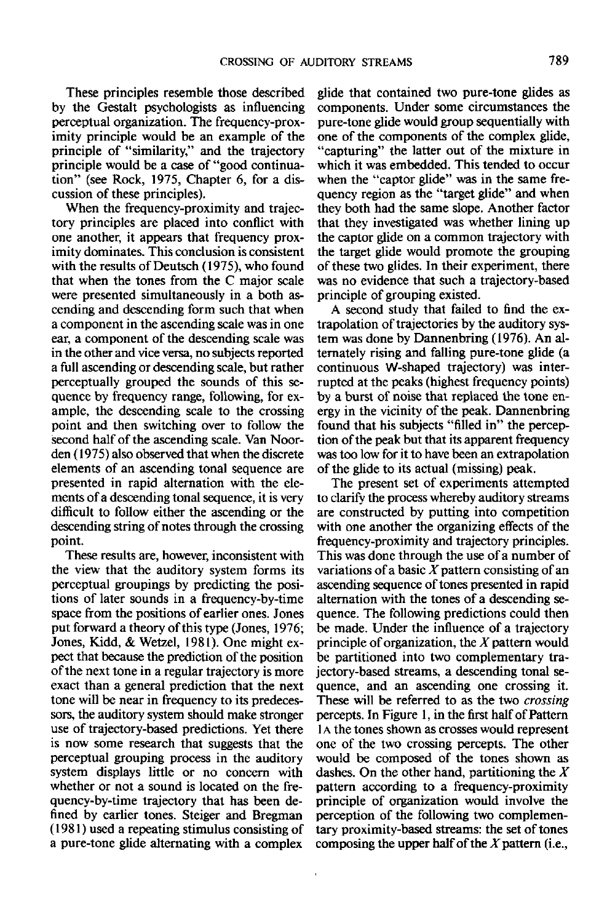These principles resemble those described by the Gestalt psychologists as influencing perceptual organization. The frequency-proximity principle would be an example of the principle of "similarity," and the trajectory principle would be a case of "good continuation" (see Rock, 1975, Chapter 6, for a discussion of these principles).

When the frequency-proximity and trajectory principles are placed into conflict with one another, it appears that frequency proximity dominates. This conclusion is consistent with the results of Deutsch (1975), who found that when the tones from the C major scale were presented simultaneously in a both ascending and descending form such that when a component in the ascending scale was in one ear, a component of the descending scale was in the other and vice versa, no subjects reported a full ascending or descending scale, but rather perceptually grouped the sounds of this sequence by frequency range, following, for example, the descending scale to the crossing point and then switching over to follow the second half of the ascending scale. Van Noorden (1975) also observed that when the discrete elements of an ascending tonal sequence are presented in rapid alternation with the elements of a descending tonal sequence, it is very difficult to follow either the ascending or the descending string of notes through the crossing point.

These results are, however, inconsistent with the view that the auditory system forms its perceptual groupings by predicting the positions of later sounds in a frequency-by-time space from the positions of earlier ones. Jones put forward a theory of this type (Jones, 1976; Jones, Kidd, *&* Wetzel, 1981). One might expect that because the prediction of the position of the next tone in a regular trajectory is more exact than a general prediction that the next tone will be near in frequency to its predecessors, the auditory system should make stronger use of trajectory-based predictions. Yet there is now some research that suggests that the perceptual grouping process in the auditory system displays little or no concern with whether or not a sound is located on the frequency-by-time trajectory that has been defined by earlier tones. Steiger and Bregman (1981) used a repeating stimulus consisting of a pure-tone glide alternating with a complex

glide that contained two pure-tone glides as components. Under some circumstances the pure-tone glide would group sequentially with one of the components of the complex glide, "capturing" the latter out of the mixture in which it was embedded. This tended to occur when the "captor glide" was in the same frequency region as the "target glide" and when they both had the same slope. Another factor that they investigated was whether lining up the captor glide on a common trajectory with the target glide would promote the grouping of these two glides. In their experiment, there was no evidence that such a trajectory-based principle of grouping existed.

A second study that failed to find the extrapolation of trajectories by the auditory system was done by Dannenbring (1976). An alternately rising and falling pure-tone glide (a continuous W-shaped trajectory) was interrupted at the peaks (highest frequency points) by a burst of noise that replaced the tone energy in the vicinity of the peak. Dannenbring found that his subjects "filled in" the perception of the peak but that its apparent frequency was too low for it to have been an extrapolation of the glide to its actual (missing) peak.

The present set of experiments attempted to clarify the process whereby auditory streams are constructed by putting into competition with one another the organizing effects of the frequency-proximity and trajectory principles. This was done through the use of a number of variations of a basic  $X$  pattern consisting of an ascending sequence of tones presented in rapid alternation with the tones of a descending sequence. The following predictions could then be made. Under the influence of a trajectory principle of organization, the *X* pattern would be partitioned into two complementary trajectory-based streams, a descending tonal sequence, and an ascending one crossing it. These will be referred to as the two *crossing* percepts. In Figure 1, in the first half of Pattern 1 A the tones shown as crosses would represent one of the two crossing percepts. The other would be composed of the tones shown as dashes. On the other hand, partitioning the *X* pattern according to a frequency-proximity principle of organization would involve the perception of the following two complementary proximity-based streams: the set of tones composing the upper half of the  $X$  pattern (i.e.,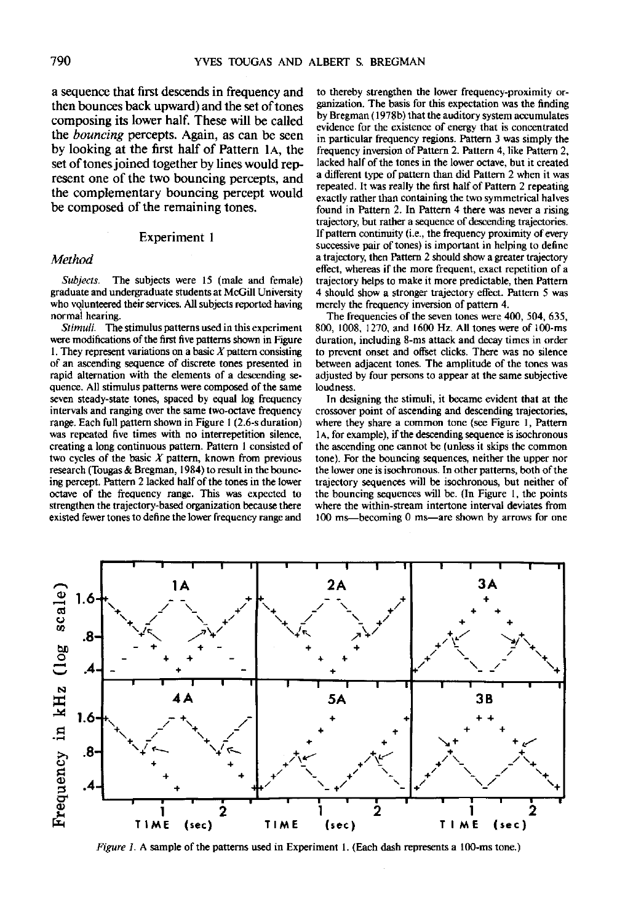a sequence that first descends in frequency and then bounces back upward) and the set of tones composing its lower half. These will be called the *bouncing* percepts. Again, as can be seen by looking at the first half of Pattern IA, the set of tones joined together by lines would represent one of the two bouncing percepts, and the complementary bouncing percept would be composed of the remaining tones.

## Experiment 1

#### *Method*

*Subjects.* The subjects were 15 (male and female) graduate and undergraduate students at McGill University who volunteered their services. All subjects reported having normal hearing.

*Stimuli.* The stimulus patterns used in this experiment were modifications of the first five patterns shown in Figure 1. They represent variations on a basic *X* pattern consisting of an ascending sequence of discrete tones presented in rapid alternation with the elements of a descending sequence. All stimulus patterns were composed of the same seven steady-state tones, spaced by equal log frequency intervals and ranging over the same two-octave frequency range. Each full pattern shown in Figure 1 (2.6-s duration) was repeated five times with no interrepetition silence, creating a long continuous pattern. Pattern 1 consisted of two cycles of the basic *X* pattern, known from previous research (Tougas & Bregman, 1984) to result in the bouncing percept. Pattern 2 lacked half of the tones in the lower octave of the frequency range. This was expected to strengthen the trajectory-based organization because there existed fewer tones to define the lower frequency range and

to thereby strengthen the lower frequency-proximity organization. The basis for this expectation was the finding by Bregman (1978b) that the auditory system accumulates evidence for the existence of energy that is concentrated in particular frequency regions. Pattern 3 was simply the frequency inversion of Pattern 2. Pattern 4, like Pattern 2, lacked half of the tones in the lower octave, but it created a different type of pattern than did Pattern 2 when it was repeated. It was really the first half of Pattern 2 repeating exactly rather than containing the two symmetrical halves found in Pattern 2. In Pattern 4 there was never a rising trajectory, but rather a sequence of descending trajectories. If pattern continuity (i.e., the frequency proximity of every successive pair of tones) is important in helping to define a trajectory, then Pattern 2 should show a greater trajectory effect, whereas if the more frequent, exact repetition of a trajectory helps to make it more predictable, then Pattern 4 should show a stronger trajectory effect. Pattern 5 was merely the frequency inversion of pattern 4.

The frequencies of the seven tones were 400, 504, 635, 800, 1008, 1270, and 1600 Hz. All tones were of 100-ms duration, including 8-ms attack and decay times in order to prevent onset and offset clicks. There was no silence between adjacent tones. The amplitude of the tones was adjusted by four persons to appear at the same subjective loudness.

In designing the stimuli, it became evident that at the crossover point of ascending and descending trajectories, where they share a common tone (see Figure 1, Pattern 1 A, for example), if the descending sequence is isochronous the ascending one cannot be (unless it skips the common tone). For the bouncing sequences, neither the upper nor the lower one is isochronous. In other patterns, both of the trajectory sequences will be isochronous, but neither of the bouncing sequences will be. (In Figure 1, the points where the within-stream intertone interval deviates from 100 ms—becoming 0 ms—are shown by arrows for one



*Figure 1.* A sample of the **patterns used in Experiment 1. (Each dash** represents **a 100-ms** tone.)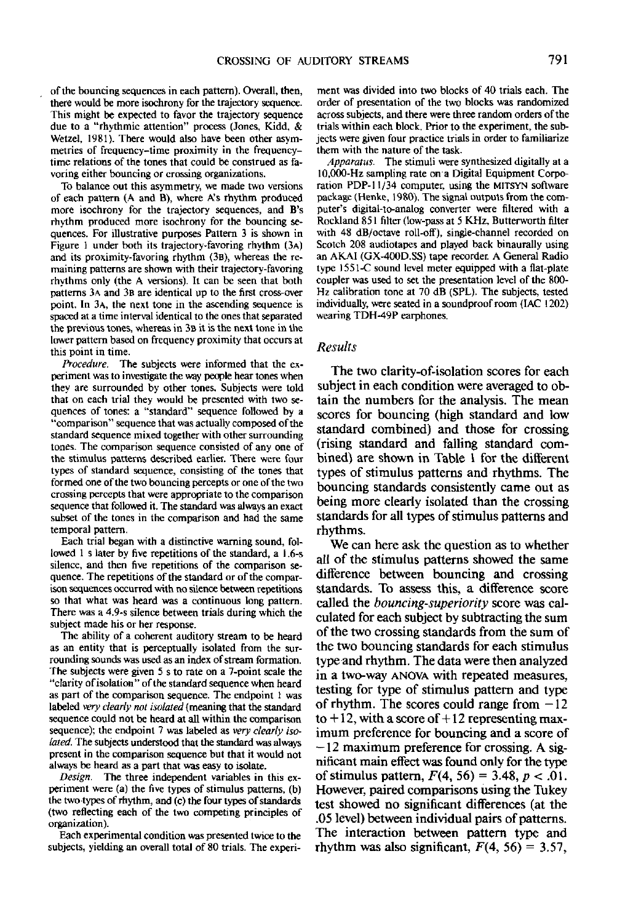of the bouncing sequences in each pattern). Overall, then, there would be more isochrony for the trajectory sequence. This might be expected to favor the trajectory sequence due to a "rhythmic attention" process (Jones, Kidd, & Wetzel, 1981). There would also have been other asymmetries of frequency-time proximity in the frequencytime relations of the tones that could be construed as favoring either bouncing or crossing organizations.

To balance out this asymmetry, we made two versions of each pattern (A and B), where A's rhythm produced more isochrony for the trajectory sequences, and B's rhythm produced more isochrony for the bouncing sequences. For illustrative purposes Pattern 3 is shown in Figure 1 under both its trajectory-favoring rhythm (3A) and its proximity-favoring rhythm (3B), whereas the remaining patterns are shown with their trajectory-favoring rhythms only (the A versions). It can be seen that both patterns 3A and 3B are identical up to the first cross-over point. In 3A, the next tone in the ascending sequence is spaced at a time interval identical to the ones that separated the previous tones, whereas in 3B it is the next tone in the lower pattern based on frequency proximity that occurs at this point in time.

*Procedure.* The subjects were informed that the experiment was to investigate the way people hear tones when they are surrounded by other tones. Subjects were told that on each trial they would be presented with two sequences of tones: a "standard" sequence followed by a "comparison" sequence that was actually composed of the standard sequence mixed together with other surrounding tones. The comparison sequence consisted of any one of the stimulus patterns described earlier. There were four types of standard sequence, consisting of the tones that formed one of the two bouncing percepts or one of the two crossing percepts that were appropriate to the comparison sequence that followed it. The standard was always an exact subset of the tones in the comparison and had the same temporal pattern.

Each trial began with a distinctive warning sound, followed 1 s later by five repetitions of the standard, a 1.6-s silence, and then five repetitions of the comparison sequence. The repetitions of the standard or of the comparison sequences occurred with no silence between repetitions so that what was heard was a continuous long pattern. There was a 4.9-s silence between trials during which the subject made his or her response.

The ability of a coherent auditory stream to be heard as an entity that is perceptually isolated from the surrounding sounds was used as an index of stream formation. The subjects were given 5 s to rate on a 7-point scale the "clarity of isolation" of the standard sequence when heard as part of the comparison sequence. The endpoint 1 was labeled *very dearly not isolated* (meaning that the standard sequence could not be heard at all within the comparison sequence); the endpoint 7 was labeled as *very clearly isolated.* The subjects understood that the standard was always present in the comparison sequence but that it would not always be heard as a part that was easy to isolate.

*Design.* The three independent variables in this experiment were (a) the five types of stimulus patterns, (b) the two types of rhythm, and (c) the four types of standards (two reflecting each of the two competing principles of organization).

Each experimental condition was presented twice to the subjects, yielding an overall total of 80 trials. The experi-

ment was divided into two blocks of 40 trials each. The order of presentation of the two blocks was randomized across subjects, and there were three random orders of the trials within each block. Prior to the experiment, the subjects were given four practice trials in order to familiarize them with the nature of the task.

*Apparatus.* The stimuli were synthesized digitally at a 10,000-Hz sampling rate on a Digital Equipment Corporation PDP-11/34 computer, using the MITSYN software package {Henke, 1980). The signal outputs from the computer's digital-to-analog converter were filtered with a Rockland 851 filter (low-pass at 5 KHz, Butterworth filter with 48 dB/octave roll-off), single-channel recorded on Scotch 208 audiotapes and played back binaurally using an AKAI (GX-400D.SS) tape recorder. A General Radio type 1551-C sound level meter equipped with a flat-plate coupler was used to set the presentation level of the 800- Hz calibration tone at 70 dB (SPL). The subjects, tested individually, were seated in a soundproof room (IAC 1202) wearing TDH-49P earphones.

#### *Results*

The two clarity-of-isolation scores for each subject in each condition were averaged to obtain the numbers for the analysis. The mean scores for bouncing (high standard and low standard combined) and those for crossing (rising standard and falling standard combined) are shown in Table 1 for the different types of stimulus patterns and rhythms. The bouncing standards consistently came out as being more clearly isolated than the crossing standards for all types of stimulus patterns and rhythms.

We can here ask the question as to whether all of the stimulus patterns showed the same difference between bouncing and crossing standards. To assess this, a difference score called the *bouncing-superiority* score was calculated for each subject by subtracting the sum of the two crossing standards from the sum of the two bouncing standards for each stimulus type and rhythm. The data were then analyzed in a two-way ANOVA with repeated measures, testing for type of stimulus pattern and type of rhythm. The scores could range from  $-12$ to  $+12$ , with a score of  $+12$  representing maximum preference for bouncing and a score of  $-12$  maximum preference for crossing. A significant main effect was found only for the type of stimulus pattern, F(4, 56) = 3.48, *p <* .01. However, paired comparisons using the Tukey test showed no significant differences (at the .05 level) between individual pairs of patterns. The interaction between pattern type and rhythm was also significant,  $F(4, 56) = 3.57$ ,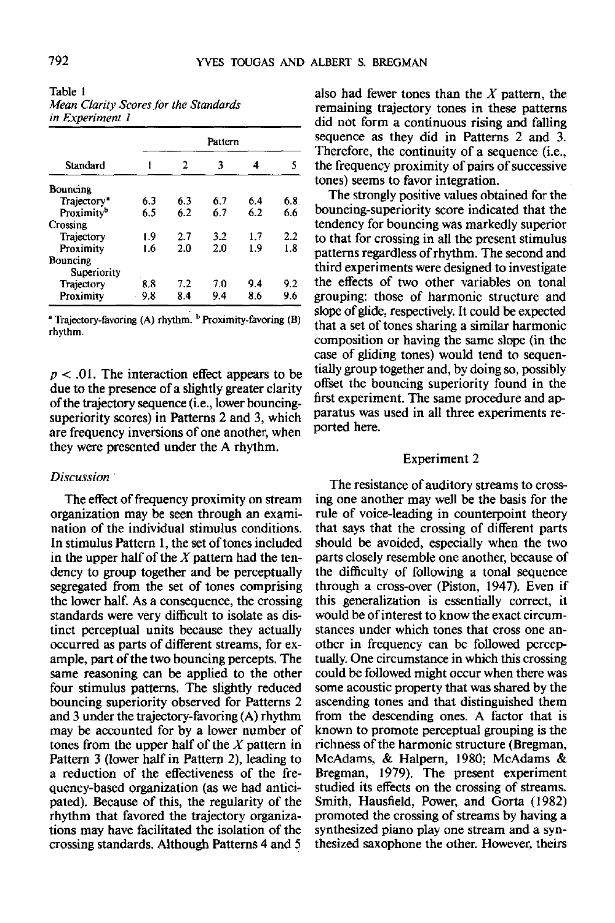|                         |     | 2   | Pattern<br>3 |     | s   |
|-------------------------|-----|-----|--------------|-----|-----|
| Standard                |     |     |              | 4   |     |
| Bouncing                |     |     |              |     |     |
| Trajectory <sup>®</sup> | 6.3 | 6.3 | 6.7          | 6.4 | 6.8 |
| Proximity <sup>b</sup>  | 6.5 | 6.2 | 6.7          | 6.2 | 6.6 |
| Crossing                |     |     |              |     |     |
| Trajectory              | ۱.9 | 2.7 | 3.2          | 1.7 | 2.2 |
| Proximity               | 1.6 | 2.0 | 2.0          | 1.9 | 1.8 |
| Bouncing                |     |     |              |     |     |
| Superiority             |     |     |              |     |     |
| Trajectory              | 8.8 | 7.2 | 7.0          | 9.4 | 9.2 |
| Proximity               | 9.8 | 84  | 9.4          | 8.6 | 9.6 |

Table 1 *Mean Clarity Scores for the Standards in Experiment 1*

Trajectory-favoring (A) rhythm. <sup>b</sup> Proximity-favoring (B) rhythm.

*p <* .01. The interaction effect appears to be due to the presence of a slightly greater clarity of the trajectory sequence (i.e., lower bouncingsuperiority scores) in Patterns 2 and 3, which are frequency inversions of one another, when they were presented under the A rhythm.

## *Discussion*

The effect of frequency proximity on stream organization may be seen through an examination of the individual stimulus conditions. In stimulus Pattern 1, the set of tones included in the upper half of the *X* pattern had the tendency to group together and be perceptually segregated from the set of tones comprising the lower half. As a consequence, the crossing standards were very difficult to isolate as distinct perceptual units because they actually occurred as parts of different streams, for example, part of the two bouncing percepts. The same reasoning can be applied to the other four stimulus patterns. The slightly reduced bouncing superiority observed for Patterns 2 and 3 under the trajectory-favoring (A) rhythm may be accounted for by a lower number of tones from the upper half of the *X* pattern in Pattern 3 (lower half in Pattern 2), leading to a reduction of the effectiveness of the frequency-based organization (as we had anticipated). Because of this, the regularity of the rhythm that favored the trajectory organizations may have facilitated the isolation of the crossing standards. Although Patterns 4 and 5

also had fewer tones than the *X* pattern, the remaining trajectory tones in these patterns did not form a continuous rising and falling sequence as they did in Patterns 2 and 3. Therefore, the continuity of a sequence (i.e., the frequency proximity of pairs of successive tones) seems to favor integration.

The strongly positive values obtained for the bouncing-superiority score indicated that the tendency for bouncing was markedly superior to that for crossing in all the present stimulus patterns regardless of rhythm. The second and third experiments were designed to investigate the effects of two other variables on tonal grouping: those of harmonic structure and slope of glide, respectively. It could be expected that a set of tones sharing a similar harmonic composition or having the same slope (in the case of gliding tones) would tend to sequentially group together and, by doing so, possibly offset the bouncing superiority found in the first experiment. The same procedure and apparatus was used in all three experiments reported here.

## Experiment 2

The resistance of auditory streams to crossing one another may well be the basis for the rule of voice-leading in counterpoint theory that says that the crossing of different parts should be avoided, especially when the two parts closely resemble one another, because of the difficulty of following a tonal sequence through a cross-over (Piston, 1947). Even if this generalization is essentially correct, it would be of interest to know the exact circumstances under which tones that cross one another in frequency can be followed perceptually. One circumstance in which this crossing could be followed might occur when there was some acoustic property that was shared by the ascending tones and that distinguished them from the descending ones. A factor that is known to promote perceptual grouping is the richness of the harmonic structure (Bregman, McAdams, & Halpern, 1980; McAdams & Bregman, 1979). The present experiment studied its effects on the crossing of streams. Smith, Hausfield, Power, and Gorta (1982) promoted the crossing of streams by having a synthesized piano play one stream and a synthesized saxophone the other. However, theirs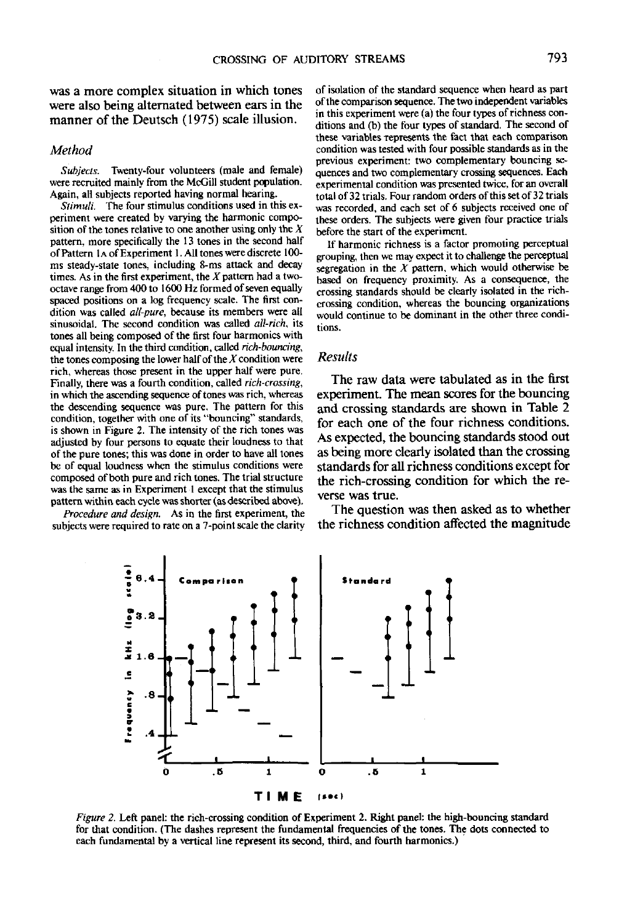was a more complex situation in which tones were also being alternated between ears in the manner of the Deutsch (1975) scale illusion.

# *Method*

*Subjects.* Twenty-four volunteers (male and female) were recruited mainly from the McGill student population. Again, all subjects reported having normal hearing.

*Stimuli.* The four stimulus conditions used in this experiment were created by varying the harmonic composition of the tones relative to one another using only the *X* pattern, more specifically the 13 tones in the second half ofPattern 1 A of Experiment 1. All tones were discrete 100 ms steady-state tones, including 8-ms attack and decay times. As in the first experiment, the  $X$  pattern had a twooctave range from 400 to 1600 Hz formed of seven equally spaced positions on a log frequency scale. The first condition was called *all-pure,* because its members were all sinusoidal. The second condition was called *all-rich,* its tones all being composed of the first four harmonics with equal intensity. In the third condition, called *rich-bouncing,* the tones composing the lower half of the *X* condition were rich, whereas those present in the upper half were pure. Finally, there was a fourth condition, called *rich-crossing,* in which the ascending sequence of tones was rich, whereas the descending sequence was pure. The pattern for this condition, together with one of its "bouncing" standards, is shown in Figure 2. The intensity of the rich tones was adjusted by four persons to equate their loudness to that of the pure tones; this was done in order to have all tones be of equal loudness when the stimulus conditions were composed of both pure and rich tones. The trial structure was the same as in Experiment 1 except that the stimulus pattern within each cycle was shorter (as described above).

*Procedure and design.* As in the first experiment, the subjects were required to rate on a 7-point scale the clarity

of isolation of the standard sequence when heard as part of the comparison sequence. The two independent variables in this experiment were (a) the four types of richness conditions and (b) the four types of standard. The second of these variables represents the fact that each comparison condition was tested with four possible standards as in the previous experiment: two complementary bouncing sequences and two complementary crossing sequences. Each experimental condition was presented twice, for an overall total of 32 trials. Four random orders of this set of 32 trials was recorded, and each set of 6 subjects received one of these orders. The subjects were given four practice trials before the start of the experiment.

If harmonic richness is a factor promoting perceptual grouping, then we may expect it to challenge the perceptual segregation in the *X* pattern, which would otherwise be based on frequency proximity. As a consequence, the crossing standards should be clearly isolated in the richcrossing condition, whereas the bouncing organizations would continue to be dominant in the other three conditions.

## *Results*

The raw data were tabulated as in the first experiment. The mean scores for the bouncing and crossing standards are shown in Table 2 for each one of the four richness conditions. As expected, the bouncing standards stood out as being more clearly isolated than the crossing standards for all richness conditions except for the rich-crossing condition for which the reverse was true.

The question was then asked as to whether the richness condition affected the magnitude



*Figure 2.* Left panel: the rich-crossing condition of Experiment 2. Right panel: the high-bouncing standard for that condition. (The dashes represent the fundamental frequencies of the tones. The dots connected to each fundamental by a vertical line represent its second, third, and fourth harmonics.)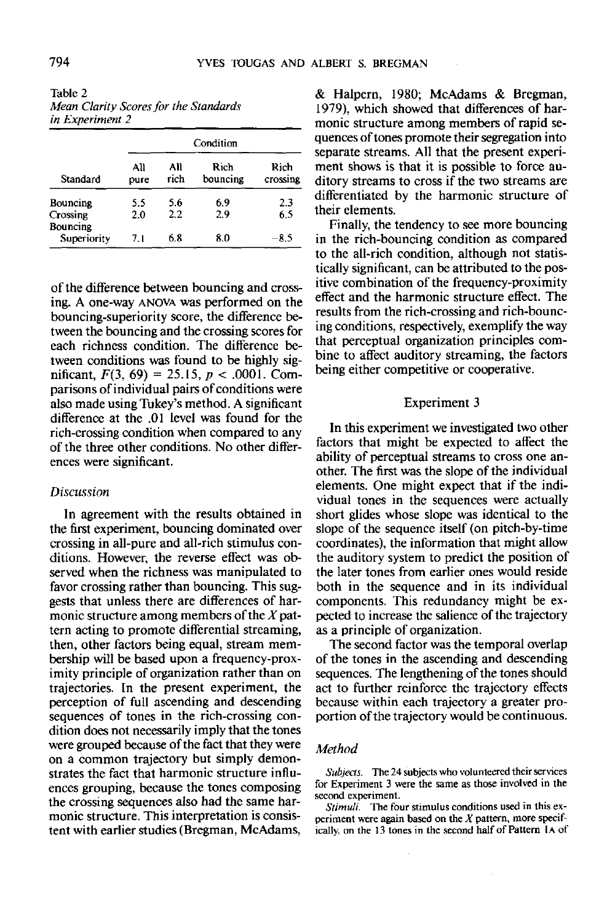| Table 2 |                                   |
|---------|-----------------------------------|
|         | Mean Clarity Scores for the Stand |

| in Experiment z |             |             |                  |                  |  |
|-----------------|-------------|-------------|------------------|------------------|--|
|                 | Condition   |             |                  |                  |  |
| Standard        | A۱۱<br>pure | All<br>rich | Rich<br>bouncing | Rich<br>crossing |  |

Bouncing 5.5 5.6 6.9 2.3<br>Crossing 2.0 2.2 2.9 6.5

Superiority 7.1  $6.8$   $8.0$   $-8.5$ 

*Mean Clarity Scores for the Standards in Experiment 2*

of the difference between bouncing and crossing. A one-way ANOVA was performed on the bouncing-superiority score, the difference between the bouncing and the crossing scores for each richness condition. The difference between conditions was found to be highly significant, *F(3,* 69) = 25.15, *p <* .0001. Comparisons of individual pairs of conditions were also made using Tukey's method. A significant difference at the .01 level was found for the rich-crossing condition when compared to any of the three other conditions. No other differences were significant.

# *Discussion*

In agreement with the results obtained in the first experiment, bouncing dominated over crossing in all-pure and all-rich stimulus conditions. However, the reverse effect was observed when the richness was manipulated to favor crossing rather than bouncing. This suggests that unless there are differences of harmonic structure among members of the  $X$  pattern acting to promote differential streaming, then, other factors being equal, stream membership will be based upon a frequency-proximity principle of organization rather than on trajectories. In the present experiment, the perception of full ascending and descending sequences of tones in the rich-crossing condition does not necessarily imply that the tones were grouped because of the fact that they were on a common trajectory but simply demonstrates the fact that harmonic structure influences grouping, because the tones composing the crossing sequences also had the same harmonic structure. This interpretation is consistent with earlier studies (Bregman, McAdams,

& Halpern, 1980; McAdams *&* Bregman, 1979), which showed that differences of harmonic structure among members of rapid sequences of tones promote their segregation into separate streams. All that the present experiment shows is that it is possible to force auditory streams to cross if the two streams are differentiated by the harmonic structure of their elements.

Finally, the tendency to see more bouncing in the rich-bouncing condition as compared to the all-rich condition, although not statistically significant, can be attributed to the positive combination of the frequency-proximity effect and the harmonic structure effect. The results from the rich-crossing and rich-bouncing conditions, respectively, exemplify the way that perceptual organization principles combine to affect auditory streaming, the factors being either competitive or cooperative.

## Experiment 3

In this experiment we investigated two other factors that might be expected to affect the ability of perceptual streams to cross one another. The first was the slope of the individual elements. One might expect that if the individual tones in the sequences were actually short glides whose slope was identical to the slope of the sequence itself (on pitch-by-time coordinates), the information that might allow the auditory system to predict the position of the later tones from earlier ones would reside both in the sequence and in its individual components. This redundancy might be expected to increase the salience of the trajectory as a principle of organization.

The second factor was the temporal overlap of the tones in the ascending and descending sequences. The lengthening of the tones should act to further reinforce the trajectory effects because within each trajectory a greater proportion of the trajectory would be continuous.

## *Method*

*Subjects.* The 24 subjects who volunteered their services for Experiment 3 were the same as those involved in the second experiment.

*Stimuli.* The four stimulus conditions used in this experiment were again based on the *X* pattern, more specifically, on the 13 tones in the second half of Pattern IA of

Crossing Bouncing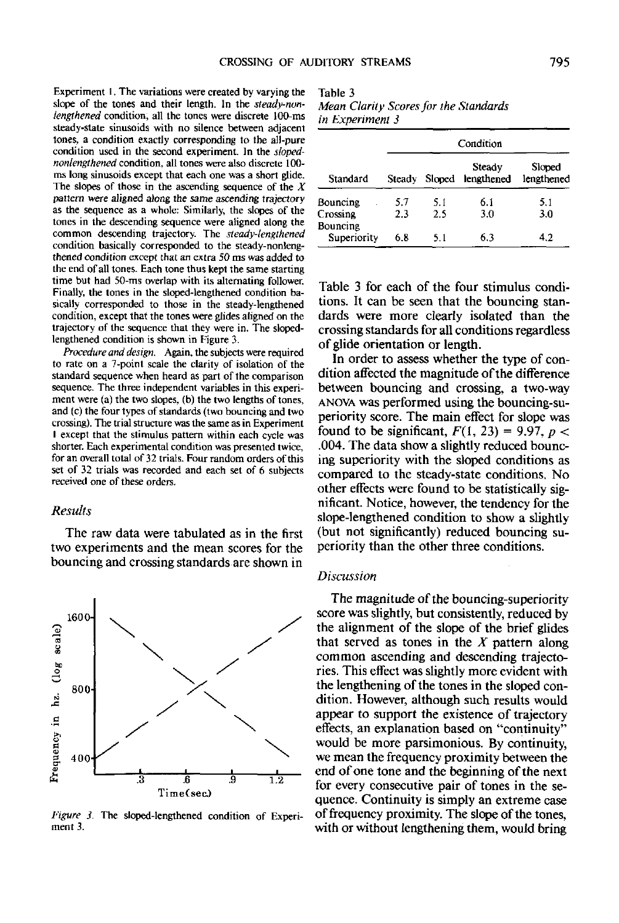Experiment I. The variations were created by varying the slope of the tones and their length. In the *steady-nunlengthened* condition, all the tones were discrete 100-ms steady-state sinusoids with no silence between adjacent tones, a condition exactly corresponding to the all-pure condition used in the second experiment. In the *slopednonlengthened* condition, all tones were also discrete 100 ms long sinusoids except that each one was a short glide. The slopes of those in the ascending sequence of the *X* pattern were aligned along the same ascending trajectory as the sequence as a whole: Similarly, the slopes of the tones in the descending sequence were aligned along the common descending trajectory. The *steady-lengthened* condition basically corresponded to the steady-nonlengthened condition except that an extra 50 ms was added to the end of all tones. Each tone thus kept the same starting time but had 50-ms overlap with its alternating follower. Finally, the tones in the sloped-lengthened condition basically corresponded to those in the steady-lengthened condition, except that the tones were glides aligned on the trajectory of the sequence that they were in. The slopedlengthened condition is shown in Figure 3.

*Procedure and design.* Again, the subjects were required to rate on a 7-point scale the clarity of isolation of the standard sequence when heard as part of the comparison sequence. The three independent variables in this experiment were (a) the two slopes, (b) the two lengths of tones, and (c) the four types of standards (two bouncing and two crossing). The trial structure was the same as in Experiment I except that the stimulus pattern within each cycle was shorter. Each experimental condition was presented twice, for an overall total of 32 trials. Four random orders of this set of 32 trials was recorded and each set of 6 subjects received one of these orders.

## *Results*

The raw data were tabulated as in the first two experiments and the mean scores for the bouncing and crossing standards are shown in



*figure 3.* The sloped-lengthened condition of Experiment 3.

Table 3 *Mean Clarity Scores far the Standards in Experiment 3*

| Standard             | Condition |        |                      |                      |  |
|----------------------|-----------|--------|----------------------|----------------------|--|
|                      | Steady    | Sloped | Steady<br>lengthened | Sloped<br>lengthened |  |
| Bouncing             | 5.7       | 5.1    | 6.1                  | 5.1                  |  |
| Crossing<br>Bouncing | 2.3       | 2.5    | 3.0                  | 3.0                  |  |
| Superiority          | 6.8       | 5.1    | 6.3                  | 42                   |  |

Table 3 for each of the four stimulus conditions. It can be seen that the bouncing standards were more clearly isolated than the crossing standards for all conditions regardless of glide orientation or length.

In order to assess whether the type of condition affected the magnitude of the difference between bouncing and crossing, a two-way ANOVA was performed using the bouncing-superiority score. The main effect for slope was found to be significant,  $F(1, 23) = 9.97$ ,  $p <$ .004. The data show a slightly reduced bouncing superiority with the sloped conditions as compared to the steady-state conditions. No other effects were found to be statistically significant. Notice, however, the tendency for the slope-lengthened condition to show a slightly (but not significantly) reduced bouncing superiority than the other three conditions.

## *Discussion*

The magnitude of the bouncing-superiority score was slightly, but consistently, reduced by the alignment of the slope of the brief glides that served as tones in the *X* pattern along common ascending and descending trajectories. This effect was slightly more evident with the lengthening of the tones in the sloped condition. However, although such results would appear to support the existence of trajectory effects, an explanation based on "continuity" would be more parsimonious. By continuity, we mean the frequency proximity between the end of one tone and the beginning of the next for every consecutive pair of tones in the sequence. Continuity is simply an extreme case of frequency proximity. The slope of the tones, with or without lengthening them, would bring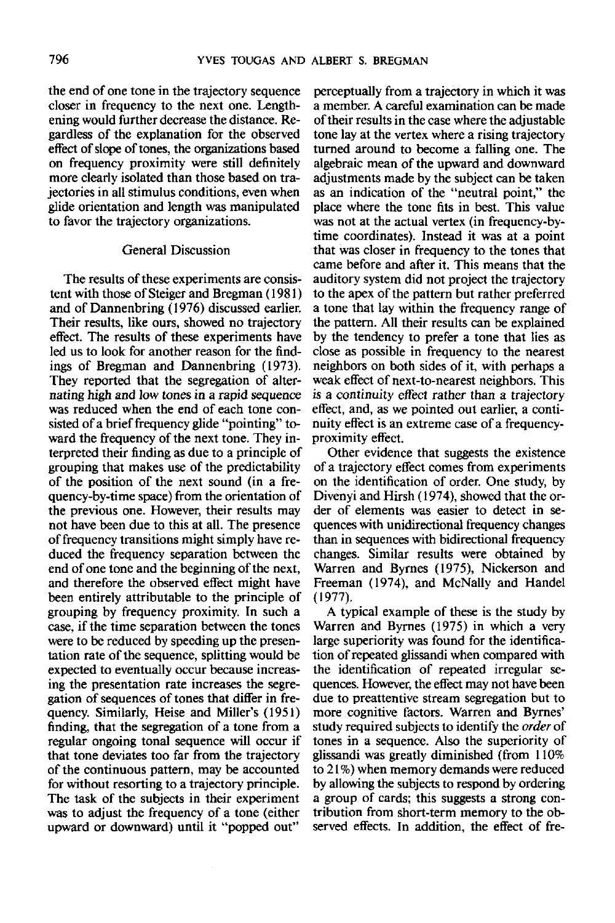the end of one tone in the trajectory sequence closer in frequency to the next one. Lengthening would further decrease the distance. Regardless of the explanation for the observed effect of slope of tones, the organizations based on frequency proximity were still definitely more clearly isolated than those based on trajectories in all stimulus conditions, even when glide orientation and length was manipulated to favor the trajectory organizations.

### General Discussion

The results of these experiments are consistent with those of Steiger and Bregman (1981) and of Dannenbring (1976) discussed earlier. Their results, like ours, showed no trajectory effect. The results of these experiments have led us to look for another reason for the findings of Bregman and Dannenbring (1973). They reported that the segregation of alternating high and low tones in a rapid sequence was reduced when the end of each tone consisted of a brief frequency glide "pointing" toward the frequency of the next tone. They interpreted their finding as due to a principle of grouping that makes use of the predictability of the position of the next sound (in a frequency-by-time space) from the orientation of the previous one. However, their results may not have been due to this at all. The presence of frequency transitions might simply have reduced the frequency separation between the end of one tone and the beginning of the next, and therefore the observed effect might have been entirely attributable to the principle of grouping by frequency proximity. In such a case, if the time separation between the tones were to be reduced by speeding up the presentation rate of the sequence, splitting would be expected to eventually occur because increasing the presentation rate increases the segregation of sequences of tones that differ in frequency. Similarly, Heise and Miller's (1951) finding, that the segregation of a tone from a regular ongoing tonal sequence will occur if that tone deviates too far from the trajectory of the continuous pattern, may be accounted for without resorting to a trajectory principle. The task of the subjects in their experiment was to adjust the frequency of a tone (either upward or downward) until it "popped out"

perceptually from a trajectory in which it was a member. A careful examination can be made of their results in the case where the adjustable tone lay at the vertex where a rising trajectory turned around to become a falling one. The algebraic mean of the upward and downward adjustments made by the subject can be taken as an indication of the "neutral point," the place where the tone fits in best. This value was not at the actual vertex (in frequency-bytime coordinates). Instead it was at a point that was closer in frequency to the tones that came before and after it. This means that the auditory system did not project the trajectory to the apex of the pattern but rather preferred a tone that lay within the frequency range of the pattern. All their results can be explained by the tendency to prefer a tone that lies as close as possible in frequency to the nearest neighbors on both sides of it, with perhaps a weak effect of next-to-nearest neighbors. This is a continuity effect rather than a trajectory effect, and, as we pointed out earlier, a continuity effect is an extreme case of a frequencyproximity effect.

Other evidence that suggests the existence of a trajectory effect comes from experiments on the identification of order. One study, by Divenyi and Hirsh (1974), showed that the order of elements was easier to detect in sequences with unidirectional frequency changes than in sequences with bidirectional frequency changes. Similar results were obtained by Warren and Byrnes (1975), Nickerson and Freeman (1974), and McNally and Handel (1977).

A typical example of these is the study by Warren and Byrnes (1975) in which a very large superiority was found for the identification of repeated glissandi when compared with the identification of repeated irregular sequences. However, the effect may not have been due to preattentive stream segregation but to more cognitive factors. Warren and Byrnes' study required subjects to identify the *order* of tones in a sequence. Also the superiority of glissandi was greatly diminished (from 110% to 21 %) when memory demands were reduced by allowing the subjects to respond by ordering a group of cards; this suggests a strong contribution from short-term memory to the observed effects. In addition, the effect of fre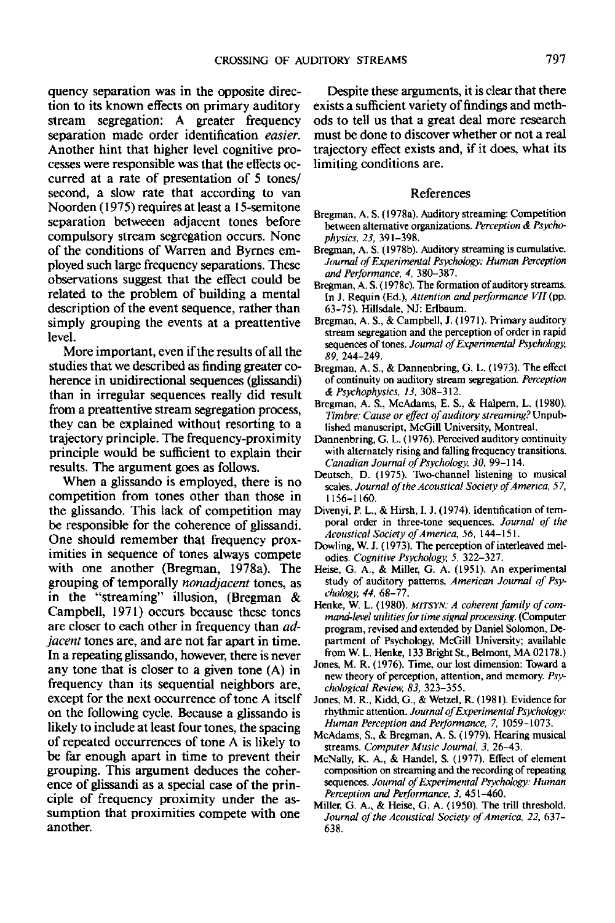quency separation was in the opposite direction to its known effects on primary auditory stream segregation: A greater frequency separation made order identification *easier.* Another hint that higher level cognitive processes were responsible was that the effects occurred at a rate of presentation of 5 tones/ second, a slow rate that according to van Noorden (1975) requires at least a 15-semitone separation betweeen adjacent tones before compulsory stream segregation occurs. None of the conditions of Warren and Byrnes employed such large frequency separations. These observations suggest that the effect could be related to the problem of building a mental description of the event sequence, rather than simply grouping the events at a preattentive level.

More important, even if the results of all the studies that we described as finding greater coherence in unidirectional sequences (glissandi) than in irregular sequences really did result from a preattentive stream segregation process, they can be explained without resorting to a trajectory principle. The frequency-proximity principle would be sufficient to explain their results. The argument goes as follows.

When a glissando is employed, there is no competition from tones other than those in the glissando. This lack of competition may be responsible for the coherence of glissandi. One should remember that frequency proximities in sequence of tones always compete with one another (Bregman, 1978a). The grouping of temporally *nonadjacent* tones, as in the "streaming" illusion, (Bregman & Campbell, 1971) occurs because these tones are closer to each other in frequency than *adjacent* tones are, and are not far apart in time. In a repeating glissando, however, there is never any tone that is closer to a given tone (A) in frequency than its sequential neighbors are, except for the next occurrence of tone A itself on the following cycle. Because a glissando is likely to include at least four tones, the spacing of repeated occurrences of tone A is likely to be far enough apart in time to prevent their grouping. This argument deduces the coherence of glissandi as a special case of the principle of frequency proximity under the assumption that proximities compete with one another.

Despite these arguments, it is clear that there exists a sufficient variety of findings and methods to tell us that a great deal more research must be done to discover whether or not a real trajectory effect exists and, if it does, what its limiting conditions are.

#### References

- Bregman, A. S. (1978a). Auditory streaming: Competition between alternative organizations. *Perception & Psychophysics, 23,* 391-398.
- Bregman, A. S. (I978b). Auditory streaming is cumulative. *Journal of Experimental Psychology: Human Perception and Performance. 4.* 380-387.
- Bregman, A. S. (1978c). The formation of auditory streams. In J. Requin (Ed.), *Attention and performance VII* (pp. 63-75). Hillsdale, NJ: Erlbaum.
- Bregman, A. S., & Campbell, J. (1971). Primary auditory stream segregation and the perception of order in rapid sequences of tones. *Journal of Experimental Psychology, \$9,* 244-249.
- Bregman, A. S., & Dannenbring, G. L. (1973). The effect of continuity on auditory stream segregation. *Perception & Psychophysics, 13,* 308-312.
- Bregman, A. S., McAdams, E. S., & Halpern, L. (1980). *Timbre: Cause or effect of auditory* streaming? Unpublished manuscript, McGill University, Montreal.
- Dannenbring, G. L. (1976). Perceived auditory continuity with alternately rising and falling frequency transitions. *Canadian Journal of Psychology, 30,* 99-114.
- Deutsch, D. (1975). Two-channel listening to musical scales. *Journal of the Acoustical Society of America*, 57, 1156-1160.
- Divenyi, P. L., & Hirsh, I. J. (1974). Identification of temporal order in three-tone sequences. *Journal of the Acoustical Society of America, 56,* 144-151.
- Dowling, W. J. (1973). The perception of interleaved melodies. *Cognitive Psychology, 5,* 322-327.
- Heise, G. A., & Miller, G. A. (1951). An experimental study of auditory patterns. *American Journal of Psychology, 44,* 68-77.
- Henke, W. L. (1980). *MITSYN: A coherent family of command-level utilities for time signal processing.* (Computer program, revised and extended by Daniel Solomon, Department of Psychology, McGill University; available from W. L. Henke, 133 Bright St, Belmont, MA 02178.)
- Jones, M. R. (1976). Time, our lost dimension: Toward a new theory of perception, attention, and memory. *Psychological Review, S3,* 323-355.
- Jones, M. R., Kidd, G., & Wetzel, R. (1981). Evidence for rhythmic attention. *Journal of Experimental Psychology: Human Perception and Performance, 7,* 1059-1073.
- McAdams, S., & Bregman, A. S. (1979). Hearing musical streams. *Computer Music Journal, 3,* 26-43.
- McNally, K. A., & Handel, S. (1977). Effect of element composition on streaming and the recording of repeating sequences. *Journal of Experimental Psychology: Human Perception and Performance, 3,* 451-460.
- Miller, G. A., & Heise, G. A. (1950). The trill threshold. *Journal of the Acoustical Society of America, 22,* 637- 638.